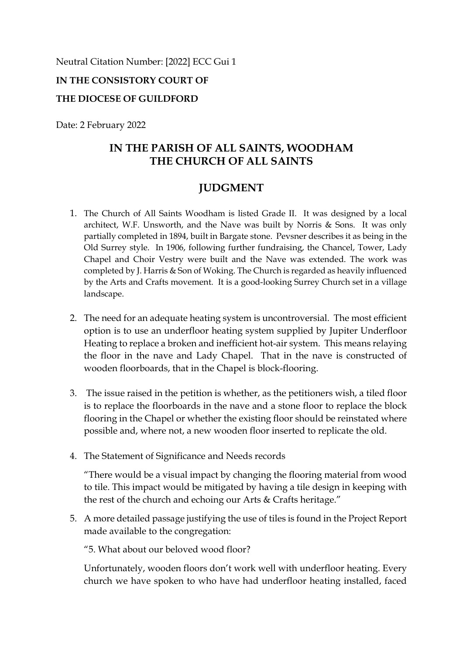Neutral Citation Number: [2022] ECC Gui 1

## **IN THE CONSISTORY COURT OF**

## **THE DIOCESE OF GUILDFORD**

Date: 2 February 2022

# **IN THE PARISH OF ALL SAINTS, WOODHAM THE CHURCH OF ALL SAINTS**

# **JUDGMENT**

- 1. The Church of All Saints Woodham is listed Grade II. It was designed by a local architect, W.F. Unsworth, and the Nave was built by Norris & Sons. It was only partially completed in 1894, built in Bargate stone. Pevsner describes it as being in the Old Surrey style. In 1906, following further fundraising, the Chancel, Tower, Lady Chapel and Choir Vestry were built and the Nave was extended. The work was completed by J. Harris & Son of Woking. The Church is regarded as heavily influenced by the Arts and Crafts movement. It is a good-looking Surrey Church set in a village landscape.
- 2. The need for an adequate heating system is uncontroversial. The most efficient option is to use an underfloor heating system supplied by Jupiter Underfloor Heating to replace a broken and inefficient hot-air system. This means relaying the floor in the nave and Lady Chapel. That in the nave is constructed of wooden floorboards, that in the Chapel is block-flooring.
- 3. The issue raised in the petition is whether, as the petitioners wish, a tiled floor is to replace the floorboards in the nave and a stone floor to replace the block flooring in the Chapel or whether the existing floor should be reinstated where possible and, where not, a new wooden floor inserted to replicate the old.
- 4. The Statement of Significance and Needs records

"There would be a visual impact by changing the flooring material from wood to tile. This impact would be mitigated by having a tile design in keeping with the rest of the church and echoing our Arts & Crafts heritage."

5. A more detailed passage justifying the use of tiles is found in the Project Report made available to the congregation:

"5. What about our beloved wood floor?

Unfortunately, wooden floors don't work well with underfloor heating. Every church we have spoken to who have had underfloor heating installed, faced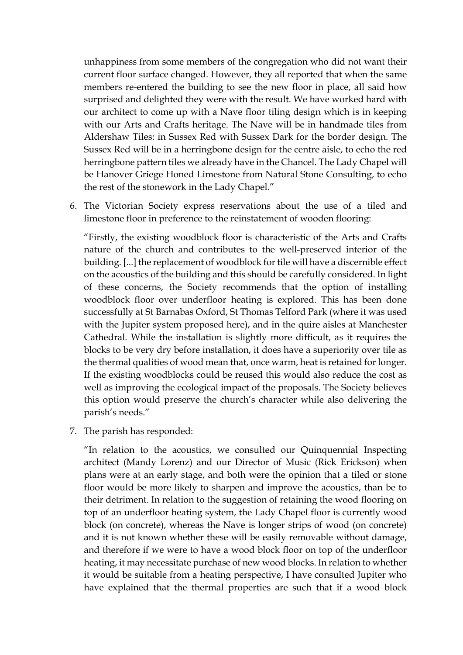unhappiness from some members of the congregation who did not want their current floor surface changed. However, they all reported that when the same members re-entered the building to see the new floor in place, all said how surprised and delighted they were with the result. We have worked hard with our architect to come up with a Nave floor tiling design which is in keeping with our Arts and Crafts heritage. The Nave will be in handmade tiles from Aldershaw Tiles: in Sussex Red with Sussex Dark for the border design. The Sussex Red will be in a herringbone design for the centre aisle, to echo the red herringbone pattern tiles we already have in the Chancel. The Lady Chapel will be Hanover Griege Honed Limestone from Natural Stone Consulting, to echo the rest of the stonework in the Lady Chapel."

6. The Victorian Society express reservations about the use of a tiled and limestone floor in preference to the reinstatement of wooden flooring:

"Firstly, the existing woodblock floor is characteristic of the Arts and Crafts nature of the church and contributes to the well-preserved interior of the building. [...] the replacement of woodblock for tile will have a discernible effect on the acoustics of the building and this should be carefully considered. In light of these concerns, the Society recommends that the option of installing woodblock floor over underfloor heating is explored. This has been done successfully at St Barnabas Oxford, St Thomas Telford Park (where it was used with the Jupiter system proposed here), and in the quire aisles at Manchester Cathedral. While the installation is slightly more difficult, as it requires the blocks to be very dry before installation, it does have a superiority over tile as the thermal qualities of wood mean that, once warm, heat is retained for longer. If the existing woodblocks could be reused this would also reduce the cost as well as improving the ecological impact of the proposals. The Society believes this option would preserve the church's character while also delivering the parish's needs."

7. The parish has responded:

"In relation to the acoustics, we consulted our Quinquennial Inspecting architect (Mandy Lorenz) and our Director of Music (Rick Erickson) when plans were at an early stage, and both were the opinion that a tiled or stone floor would be more likely to sharpen and improve the acoustics, than be to their detriment. In relation to the suggestion of retaining the wood flooring on top of an underfloor heating system, the Lady Chapel floor is currently wood block (on concrete), whereas the Nave is longer strips of wood (on concrete) and it is not known whether these will be easily removable without damage, and therefore if we were to have a wood block floor on top of the underfloor heating, it may necessitate purchase of new wood blocks. In relation to whether it would be suitable from a heating perspective, I have consulted Jupiter who have explained that the thermal properties are such that if a wood block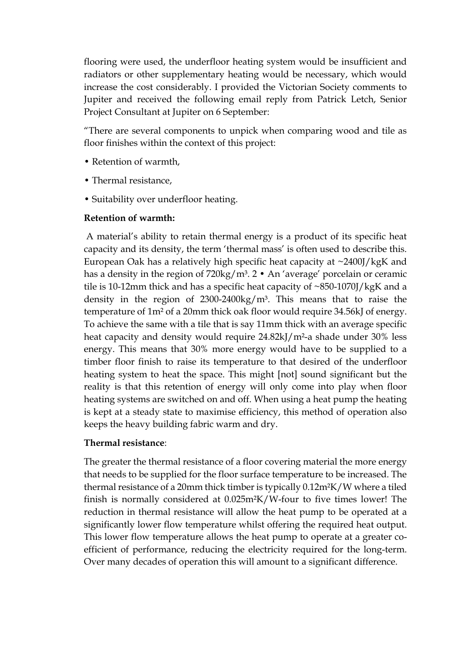flooring were used, the underfloor heating system would be insufficient and radiators or other supplementary heating would be necessary, which would increase the cost considerably. I provided the Victorian Society comments to Jupiter and received the following email reply from Patrick Letch, Senior Project Consultant at Jupiter on 6 September:

"There are several components to unpick when comparing wood and tile as floor finishes within the context of this project:

- Retention of warmth,
- Thermal resistance,
- Suitability over underfloor heating.

### **Retention of warmth:**

 A material's ability to retain thermal energy is a product of its specific heat capacity and its density, the term 'thermal mass' is often used to describe this. European Oak has a relatively high specific heat capacity at ~2400J/kgK and has a density in the region of 720kg/m<sup>3</sup>. 2 • An 'average' porcelain or ceramic tile is 10-12mm thick and has a specific heat capacity of ~850-1070J/kgK and a density in the region of  $2300-2400\text{kg/m}^3$ . This means that to raise the temperature of 1m² of a 20mm thick oak floor would require 34.56kJ of energy. To achieve the same with a tile that is say 11mm thick with an average specific heat capacity and density would require 24.82kJ/m<sup>2</sup>-a shade under 30% less energy. This means that 30% more energy would have to be supplied to a timber floor finish to raise its temperature to that desired of the underfloor heating system to heat the space. This might [not] sound significant but the reality is that this retention of energy will only come into play when floor heating systems are switched on and off. When using a heat pump the heating is kept at a steady state to maximise efficiency, this method of operation also keeps the heavy building fabric warm and dry.

### **Thermal resistance**:

The greater the thermal resistance of a floor covering material the more energy that needs to be supplied for the floor surface temperature to be increased. The thermal resistance of a 20mm thick timber is typically 0.12m²K/W where a tiled finish is normally considered at 0.025m²K/W-four to five times lower! The reduction in thermal resistance will allow the heat pump to be operated at a significantly lower flow temperature whilst offering the required heat output. This lower flow temperature allows the heat pump to operate at a greater coefficient of performance, reducing the electricity required for the long-term. Over many decades of operation this will amount to a significant difference.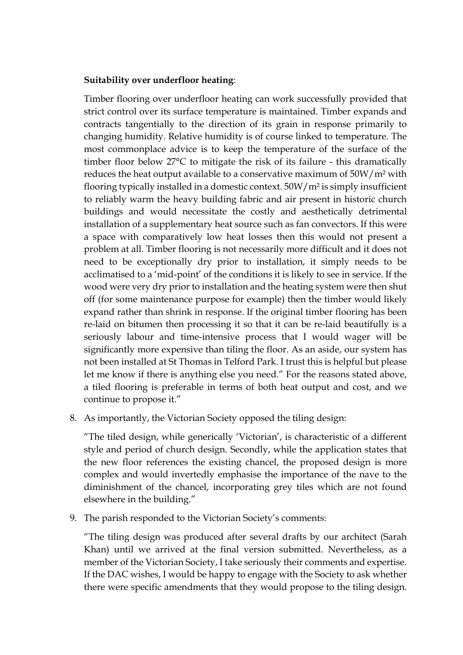#### **Suitability over underfloor heating**:

Timber flooring over underfloor heating can work successfully provided that strict control over its surface temperature is maintained. Timber expands and contracts tangentially to the direction of its grain in response primarily to changing humidity. Relative humidity is of course linked to temperature. The most commonplace advice is to keep the temperature of the surface of the timber floor below 27°C to mitigate the risk of its failure - this dramatically reduces the heat output available to a conservative maximum of 50W/m² with flooring typically installed in a domestic context. 50W/m² is simply insufficient to reliably warm the heavy building fabric and air present in historic church buildings and would necessitate the costly and aesthetically detrimental installation of a supplementary heat source such as fan convectors. If this were a space with comparatively low heat losses then this would not present a problem at all. Timber flooring is not necessarily more difficult and it does not need to be exceptionally dry prior to installation, it simply needs to be acclimatised to a 'mid-point' of the conditions it is likely to see in service. If the wood were very dry prior to installation and the heating system were then shut off (for some maintenance purpose for example) then the timber would likely expand rather than shrink in response. If the original timber flooring has been re-laid on bitumen then processing it so that it can be re-laid beautifully is a seriously labour and time-intensive process that I would wager will be significantly more expensive than tiling the floor. As an aside, our system has not been installed at St Thomas in Telford Park. I trust this is helpful but please let me know if there is anything else you need." For the reasons stated above, a tiled flooring is preferable in terms of both heat output and cost, and we continue to propose it."

8. As importantly, the Victorian Society opposed the tiling design:

"The tiled design, while generically 'Victorian', is characteristic of a different style and period of church design. Secondly, while the application states that the new floor references the existing chancel, the proposed design is more complex and would invertedly emphasise the importance of the nave to the diminishment of the chancel, incorporating grey tiles which are not found elsewhere in the building."

9. The parish responded to the Victorian Society's comments:

"The tiling design was produced after several drafts by our architect (Sarah Khan) until we arrived at the final version submitted. Nevertheless, as a member of the Victorian Society, I take seriously their comments and expertise. If the DAC wishes, I would be happy to engage with the Society to ask whether there were specific amendments that they would propose to the tiling design.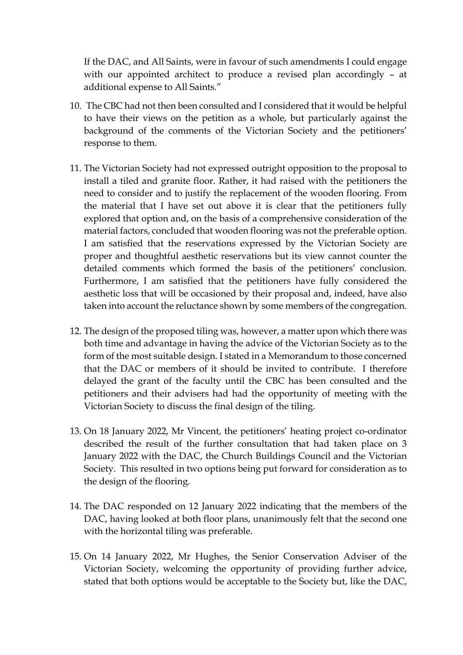If the DAC, and All Saints, were in favour of such amendments I could engage with our appointed architect to produce a revised plan accordingly – at additional expense to All Saints."

- 10. The CBC had not then been consulted and I considered that it would be helpful to have their views on the petition as a whole, but particularly against the background of the comments of the Victorian Society and the petitioners' response to them.
- 11. The Victorian Society had not expressed outright opposition to the proposal to install a tiled and granite floor. Rather, it had raised with the petitioners the need to consider and to justify the replacement of the wooden flooring. From the material that I have set out above it is clear that the petitioners fully explored that option and, on the basis of a comprehensive consideration of the material factors, concluded that wooden flooring was not the preferable option. I am satisfied that the reservations expressed by the Victorian Society are proper and thoughtful aesthetic reservations but its view cannot counter the detailed comments which formed the basis of the petitioners' conclusion. Furthermore, I am satisfied that the petitioners have fully considered the aesthetic loss that will be occasioned by their proposal and, indeed, have also taken into account the reluctance shown by some members of the congregation.
- 12. The design of the proposed tiling was, however, a matter upon which there was both time and advantage in having the advice of the Victorian Society as to the form of the most suitable design. I stated in a Memorandum to those concerned that the DAC or members of it should be invited to contribute. I therefore delayed the grant of the faculty until the CBC has been consulted and the petitioners and their advisers had had the opportunity of meeting with the Victorian Society to discuss the final design of the tiling.
- 13. On 18 January 2022, Mr Vincent, the petitioners' heating project co-ordinator described the result of the further consultation that had taken place on 3 January 2022 with the DAC, the Church Buildings Council and the Victorian Society. This resulted in two options being put forward for consideration as to the design of the flooring.
- 14. The DAC responded on 12 January 2022 indicating that the members of the DAC, having looked at both floor plans, unanimously felt that the second one with the horizontal tiling was preferable.
- 15. On 14 January 2022, Mr Hughes, the Senior Conservation Adviser of the Victorian Society, welcoming the opportunity of providing further advice, stated that both options would be acceptable to the Society but, like the DAC,